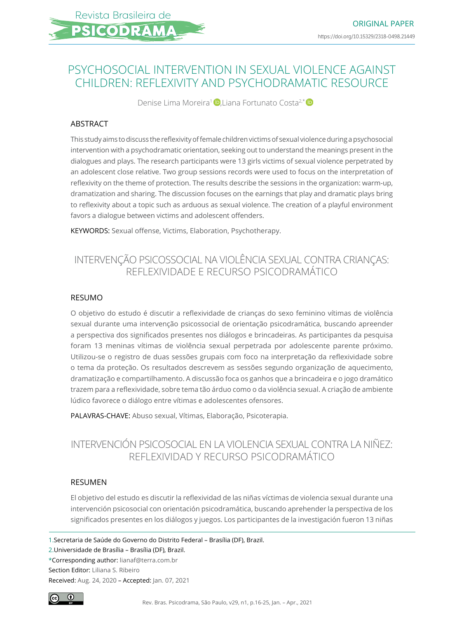# PSYCHOSOCIAL INTERVENTION IN SEXUAL VIOLENCE AGAINST CHILDREN: REFLEXIVITY AND PSYCHODRAMATIC RESOURCE

Denise Lima Moreira<sup>1</sup> D.Liana Fortunato Costa<sup>2,\*</sup> D

### ABSTRACT

This study aims to discuss the reflexivity of female children victims of sexual violence during a psychosocial intervention with a psychodramatic orientation, seeking out to understand the meanings present in the dialogues and plays. The research participants were 13 girls victims of sexual violence perpetrated by an adolescent close relative. Two group sessions records were used to focus on the interpretation of reflexivity on the theme of protection. The results describe the sessions in the organization: warm-up, dramatization and sharing. The discussion focuses on the earnings that play and dramatic plays bring to reflexivity about a topic such as arduous as sexual violence. The creation of a playful environment favors a dialogue between victims and adolescent offenders.

KEYWORDS: Sexual offense, Victims, Elaboration, Psychotherapy.

# INTERVENÇÃO PSICOSSOCIAL NA VIOLÊNCIA SEXUAL CONTRA CRIANÇAS: REFLEXIVIDADE E RECURSO PSICODRAMÁTICO

### RESUMO

O objetivo do estudo é discutir a reflexividade de crianças do sexo feminino vítimas de violência sexual durante uma intervenção psicossocial de orientação psicodramática, buscando apreender a perspectiva dos significados presentes nos diálogos e brincadeiras. As participantes da pesquisa foram 13 meninas vítimas de violência sexual perpetrada por adolescente parente próximo. Utilizou-se o registro de duas sessões grupais com foco na interpretação da reflexividade sobre o tema da proteção. Os resultados descrevem as sessões segundo organização de aquecimento, dramatização e compartilhamento. A discussão foca os ganhos que a brincadeira e o jogo dramático trazem para a reflexividade, sobre tema tão árduo como o da violência sexual. A criação de ambiente lúdico favorece o diálogo entre vítimas e adolescentes ofensores.

PALAVRAS-CHAVE: Abuso sexual, Vítimas, Elaboração, Psicoterapia.

# INTERVENCIÓN PSICOSOCIAL EN LA VIOLENCIA SEXUAL CONTRA LA NIÑEZ: REFLEXIVIDAD Y RECURSO PSICODRAMÁTICO

### RESUMEN

El objetivo del estudo es discutir la reflexividad de las niñas víctimas de violencia sexual durante una intervención psicosocial con orientación psicodramática, buscando aprehender la perspectiva de los significados presentes en los diálogos y juegos. Los participantes de la investigación fueron 13 niñas

1.Secretaria de Saúde do Governo do Distrito Federal – Brasília (DF), Brazil.

2.Universidade de Brasília – Brasília (DF), Brazil.

\*Corresponding author: [lianaf@terra.com.br](mailto:lianaf@terra.com.br) Section Editor: Liliana S. Ribeiro Received: Aug. 24, 2020 – Accepted: Jan. 07, 2021

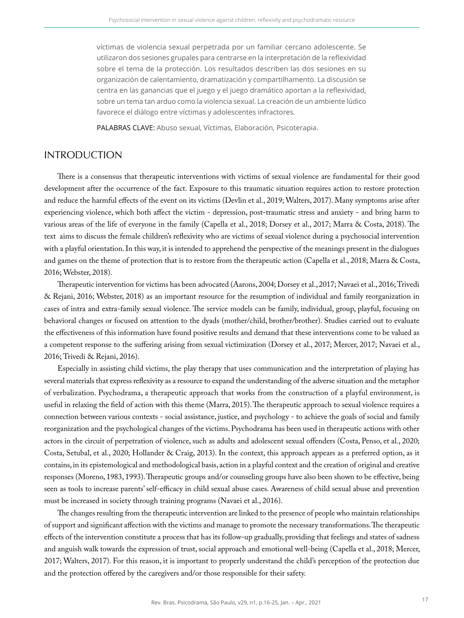víctimas de violencia sexual perpetrada por un familiar cercano adolescente. Se utilizaron dos sesiones grupales para centrarse en la interpretación de la reflexividad sobre el tema de la protección. Los resultados describen las dos sesiones en su organización de calentamiento, dramatización y compartilhamento. La discusión se centra en las ganancias que el juego y el juego dramático aportan a la reflexividad, sobre un tema tan arduo como la violencia sexual. La creación de un ambiente lúdico favorece el diálogo entre víctimas y adolescentes infractores.

PALABRAS CLAVE: Abuso sexual, Víctimas, Elaboración, Psicoterapia.

### INTRODUCTION

There is a consensus that therapeutic interventions with victims of sexual violence are fundamental for their good development after the occurrence of the fact. Exposure to this traumatic situation requires action to restore protection and reduce the harmful effects of the event on its victims (Devlin et al., 2019; Walters, 2017). Many symptoms arise after experiencing violence, which both affect the victim - depression, post-traumatic stress and anxiety - and bring harm to various areas of the life of everyone in the family (Capella et al., 2018; Dorsey et al., 2017; Marra & Costa, 2018). The text aims to discuss the female children's reflexivity who are victims of sexual violence during a psychosocial intervention with a playful orientation. In this way, it is intended to apprehend the perspective of the meanings present in the dialogues and games on the theme of protection that is to restore from the therapeutic action (Capella et al., 2018; Marra & Costa, 2016; Webster, 2018).

Therapeutic intervention for victims has been advocated (Aarons, 2004; Dorsey et al., 2017; Navaei et al., 2016; Trivedi & Rejani, 2016; Webster, 2018) as an important resource for the resumption of individual and family reorganization in cases of intra and extra-family sexual violence. The service models can be family, individual, group, playful, focusing on behavioral changes or focused on attention to the dyads (mother/child, brother/brother). Studies carried out to evaluate the effectiveness of this information have found positive results and demand that these interventions come to be valued as a competent response to the suffering arising from sexual victimization (Dorsey et al., 2017; Mercer, 2017; Navaei et al., 2016; Trivedi & Rejani, 2016).

Especially in assisting child victims, the play therapy that uses communication and the interpretation of playing has several materials that express reflexivity as a resource to expand the understanding of the adverse situation and the metaphor of verbalization. Psychodrama, a therapeutic approach that works from the construction of a playful environment, is useful in relaxing the field of action with this theme (Marra, 2015). The therapeutic approach to sexual violence requires a connection between various contexts - social assistance, justice, and psychology - to achieve the goals of social and family reorganization and the psychological changes of the victims. Psychodrama has been used in therapeutic actions with other actors in the circuit of perpetration of violence, such as adults and adolescent sexual offenders (Costa, Penso, et al., 2020; Costa, Setubal, et al., 2020; Hollander & Craig, 2013). In the context, this approach appears as a preferred option, as it contains, in its epistemological and methodological basis, action in a playful context and the creation of original and creative responses (Moreno, 1983, 1993). Therapeutic groups and/or counseling groups have also been shown to be effective, being seen as tools to increase parents' self-efficacy in child sexual abuse cases. Awareness of child sexual abuse and prevention must be increased in society through training programs (Navaei et al., 2016).

The changes resulting from the therapeutic intervention are linked to the presence of people who maintain relationships of support and significant affection with the victims and manage to promote the necessary transformations. The therapeutic effects of the intervention constitute a process that has its follow-up gradually, providing that feelings and states of sadness and anguish walk towards the expression of trust, social approach and emotional well-being (Capella et al., 2018; Mercer, 2017; Walters, 2017). For this reason, it is important to properly understand the child's perception of the protection due and the protection offered by the caregivers and/or those responsible for their safety.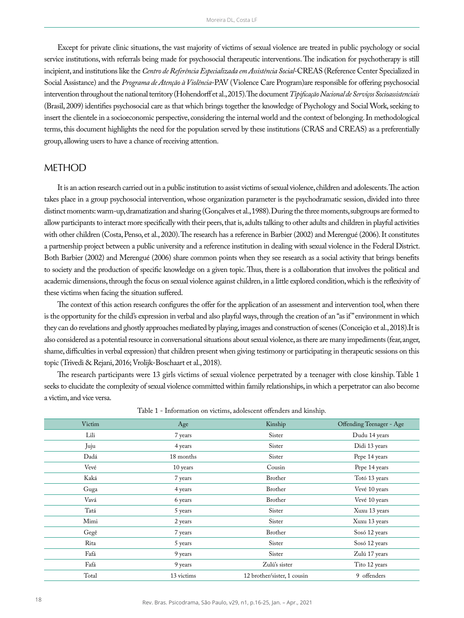Except for private clinic situations, the vast majority of victims of sexual violence are treated in public psychology or social service institutions, with referrals being made for psychosocial therapeutic interventions. The indication for psychotherapy is still incipient, and institutions like the *Centro de Referência Especializada em Assistência Social*-CREAS (Reference Center Specialized in Social Assistance) and the *Programa de Atenção à Violência*-PAV (Violence Care Program)are responsible for offering psychosocial intervention throughout the national territory (Hohendorff et al., 2015). The document *Tipificação Nacional de Serviços Socioassistenciais* (Brasil, 2009) identifies psychosocial care as that which brings together the knowledge of Psychology and Social Work, seeking to insert the clientele in a socioeconomic perspective, considering the internal world and the context of belonging. In methodological terms, this document highlights the need for the population served by these institutions (CRAS and CREAS) as a preferentially group, allowing users to have a chance of receiving attention.

### **METHOD**

It is an action research carried out in a public institution to assist victims of sexual violence, children and adolescents. The action takes place in a group psychosocial intervention, whose organization parameter is the psychodramatic session, divided into three distinct moments: warm-up, dramatization and sharing (Gonçalves et al., 1988). During the three moments, subgroups are formed to allow participants to interact more specifically with their peers, that is, adults talking to other adults and children in playful activities with other children (Costa, Penso, et al., 2020). The research has a reference in Barbier (2002) and Merengué (2006). It constitutes a partnership project between a public university and a reference institution in dealing with sexual violence in the Federal District. Both Barbier (2002) and Merengué (2006) share common points when they see research as a social activity that brings benefits to society and the production of specific knowledge on a given topic. Thus, there is a collaboration that involves the political and academic dimensions, through the focus on sexual violence against children, in a little explored condition, which is the reflexivity of these victims when facing the situation suffered.

The context of this action research configures the offer for the application of an assessment and intervention tool, when there is the opportunity for the child's expression in verbal and also playful ways, through the creation of an "as if" environment in which they can do revelations and ghostly approaches mediated by playing, images and construction of scenes (Conceição et al., 2018).It is also considered as a potential resource in conversational situations about sexual violence, as there are many impediments (fear, anger, shame, difficulties in verbal expression) that children present when giving testimony or participating in therapeutic sessions on this topic (Trivedi & Rejani, 2016; Vrolijk-Boschaart et al., 2018).

The research participants were 13 girls victims of sexual violence perpetrated by a teenager with close kinship. Table 1 seeks to elucidate the complexity of sexual violence committed within family relationships, in which a perpetrator can also become a victim, and vice versa.

| Victim | Age        | Kinship                     | Offending Teenager - Age |
|--------|------------|-----------------------------|--------------------------|
| Lili   | 7 years    | Sister                      | Dudu 14 years            |
| Juju   | 4 years    | Sister                      | Didi 13 years            |
| Dadá   | 18 months  | Sister                      | Pepe 14 years            |
| Vevé   | 10 years   | Cousin                      | Pepe 14 years            |
| Kaká   | 7 years    | Brother                     | Totó 13 years            |
| Guga   | 4 years    | Brother                     | Vevé 10 years            |
| Vavá   | 6 years    | Brother                     | Vevé 10 years            |
| Tatá   | 5 years    | Sister                      | Xuxu 13 years            |
| Mimi   | 2 years    | Sister                      | Xuxu 13 years            |
| Gegê   | 7 years    | Brother                     | Sosó 12 years            |
| Rita   | 5 years    | Sister                      | Sosó 12 years            |
| Fafá   | 9 years    | Sister                      | Zulú 17 years            |
| Fafá   | 9 years    | Zulú's sister               | Tito 12 years            |
| Total  | 13 victims | 12 brother/sister, 1 cousin | 9 offenders              |

Table 1 - Information on victims, adolescent offenders and kinship.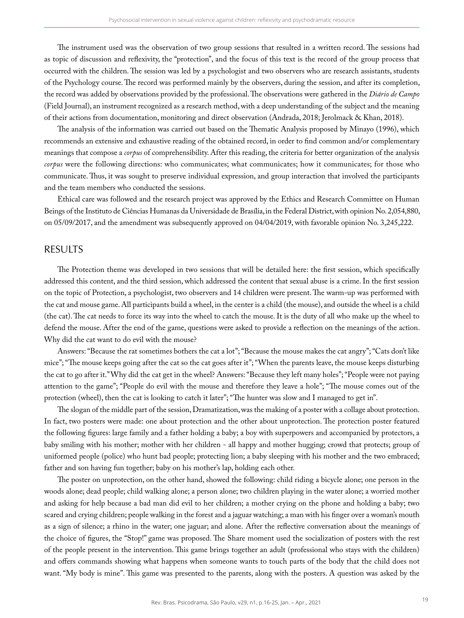The instrument used was the observation of two group sessions that resulted in a written record. The sessions had as topic of discussion and reflexivity, the "protection", and the focus of this text is the record of the group process that occurred with the children. The session was led by a psychologist and two observers who are research assistants, students of the Psychology course. The record was performed mainly by the observers, during the session, and after its completion, the record was added by observations provided by the professional. The observations were gathered in the *Diário de Campo* (Field Journal), an instrument recognized as a research method, with a deep understanding of the subject and the meaning of their actions from documentation, monitoring and direct observation (Andrada, 2018; Jerolmack & Khan, 2018).

The analysis of the information was carried out based on the Thematic Analysis proposed by Minayo (1996), which recommends an extensive and exhaustive reading of the obtained record, in order to find common and/or complementary meanings that compose a *corpus* of comprehensibility. After this reading, the criteria for better organization of the analysis *corpus* were the following directions: who communicates; what communicates; how it communicates; for those who communicate. Thus, it was sought to preserve individual expression, and group interaction that involved the participants and the team members who conducted the sessions.

Ethical care was followed and the research project was approved by the Ethics and Research Committee on Human Beings of the Instituto de Ciências Humanas da Universidade de Brasília, in the Federal District, with opinion No. 2,054,880, on 05/09/2017, and the amendment was subsequently approved on 04/04/2019, with favorable opinion No. 3,245,222.

#### RESULTS

The Protection theme was developed in two sessions that will be detailed here: the first session, which specifically addressed this content, and the third session, which addressed the content that sexual abuse is a crime. In the first session on the topic of Protection, a psychologist, two observers and 14 children were present. The warm-up was performed with the cat and mouse game. All participants build a wheel, in the center is a child (the mouse), and outside the wheel is a child (the cat). The cat needs to force its way into the wheel to catch the mouse. It is the duty of all who make up the wheel to defend the mouse. After the end of the game, questions were asked to provide a reflection on the meanings of the action. Why did the cat want to do evil with the mouse?

Answers: "Because the rat sometimes bothers the cat a lot"; "Because the mouse makes the cat angry"; "Cats don't like mice"; "The mouse keeps going after the cat so the cat goes after it"; "When the parents leave, the mouse keeps disturbing the cat to go after it." Why did the cat get in the wheel? Answers: "Because they left many holes"; "People were not paying attention to the game"; "People do evil with the mouse and therefore they leave a hole"; "The mouse comes out of the protection (wheel), then the cat is looking to catch it later"; "The hunter was slow and I managed to get in".

The slogan of the middle part of the session, Dramatization, was the making of a poster with a collage about protection. In fact, two posters were made: one about protection and the other about unprotection. The protection poster featured the following figures: large family and a father holding a baby; a boy with superpowers and accompanied by protectors, a baby smiling with his mother; mother with her children - all happy and mother hugging; crowd that protects; group of uniformed people (police) who hunt bad people; protecting lion; a baby sleeping with his mother and the two embraced; father and son having fun together; baby on his mother's lap, holding each other.

The poster on unprotection, on the other hand, showed the following: child riding a bicycle alone; one person in the woods alone; dead people; child walking alone; a person alone; two children playing in the water alone; a worried mother and asking for help because a bad man did evil to her children; a mother crying on the phone and holding a baby; two scared and crying children; people walking in the forest and a jaguar watching; a man with his finger over a woman's mouth as a sign of silence; a rhino in the water; one jaguar; and alone. After the reflective conversation about the meanings of the choice of figures, the "Stop!" game was proposed. The Share moment used the socialization of posters with the rest of the people present in the intervention. This game brings together an adult (professional who stays with the children) and offers commands showing what happens when someone wants to touch parts of the body that the child does not want. "My body is mine". This game was presented to the parents, along with the posters. A question was asked by the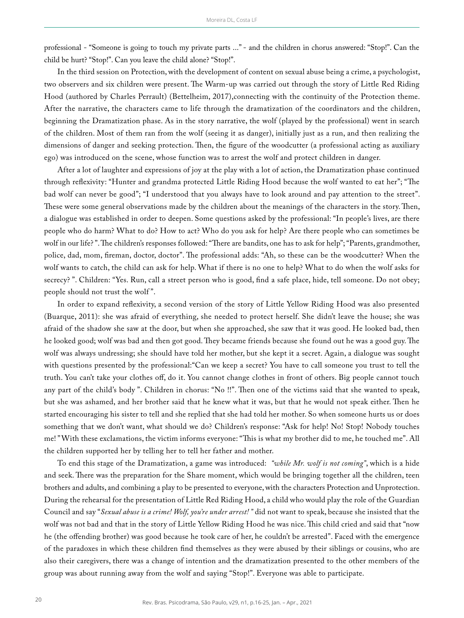professional - "Someone is going to touch my private parts ..." - and the children in chorus answered: "Stop!". Can the child be hurt? "Stop!". Can you leave the child alone? "Stop!".

In the third session on Protection, with the development of content on sexual abuse being a crime, a psychologist, two observers and six children were present. The Warm-up was carried out through the story of Little Red Riding Hood (authored by Charles Perrault) (Bettelheim, 2017),connecting with the continuity of the Protection theme. After the narrative, the characters came to life through the dramatization of the coordinators and the children, beginning the Dramatization phase. As in the story narrative, the wolf (played by the professional) went in search of the children. Most of them ran from the wolf (seeing it as danger), initially just as a run, and then realizing the dimensions of danger and seeking protection. Then, the figure of the woodcutter (a professional acting as auxiliary ego) was introduced on the scene, whose function was to arrest the wolf and protect children in danger.

After a lot of laughter and expressions of joy at the play with a lot of action, the Dramatization phase continued through reflexivity: "Hunter and grandma protected Little Riding Hood because the wolf wanted to eat her"; "The bad wolf can never be good"; "I understood that you always have to look around and pay attention to the street". These were some general observations made by the children about the meanings of the characters in the story. Then, a dialogue was established in order to deepen. Some questions asked by the professional: "In people's lives, are there people who do harm? What to do? How to act? Who do you ask for help? Are there people who can sometimes be wolf in our life? ". The children's responses followed: "There are bandits, one has to ask for help"; "Parents, grandmother, police, dad, mom, fireman, doctor, doctor". The professional adds: "Ah, so these can be the woodcutter? When the wolf wants to catch, the child can ask for help. What if there is no one to help? What to do when the wolf asks for secrecy? ". Children: "Yes. Run, call a street person who is good, find a safe place, hide, tell someone. Do not obey; people should not trust the wolf ".

In order to expand reflexivity, a second version of the story of Little Yellow Riding Hood was also presented (Buarque, 2011): she was afraid of everything, she needed to protect herself. She didn't leave the house; she was afraid of the shadow she saw at the door, but when she approached, she saw that it was good. He looked bad, then he looked good; wolf was bad and then got good. They became friends because she found out he was a good guy. The wolf was always undressing; she should have told her mother, but she kept it a secret. Again, a dialogue was sought with questions presented by the professional:"Can we keep a secret? You have to call someone you trust to tell the truth. You can't take your clothes off, do it. You cannot change clothes in front of others. Big people cannot touch any part of the child's body ". Children in chorus: "No !!". Then one of the victims said that she wanted to speak, but she was ashamed, and her brother said that he knew what it was, but that he would not speak either. Then he started encouraging his sister to tell and she replied that she had told her mother. So when someone hurts us or does something that we don't want, what should we do? Children's response: "Ask for help! No! Stop! Nobody touches me! " With these exclamations, the victim informs everyone: "This is what my brother did to me, he touched me". All the children supported her by telling her to tell her father and mother.

To end this stage of the Dramatization, a game was introduced: *"while Mr. wolf is not coming"*, which is a hide and seek. There was the preparation for the Share moment, which would be bringing together all the children, teen brothers and adults, and combining a play to be presented to everyone, with the characters Protection and Unprotection. During the rehearsal for the presentation of Little Red Riding Hood, a child who would play the role of the Guardian Council and say "*Sexual abuse is a crime! Wolf, you're under arrest! "* did not want to speak, because she insisted that the wolf was not bad and that in the story of Little Yellow Riding Hood he was nice. This child cried and said that "now he (the offending brother) was good because he took care of her, he couldn't be arrested". Faced with the emergence of the paradoxes in which these children find themselves as they were abused by their siblings or cousins, who are also their caregivers, there was a change of intention and the dramatization presented to the other members of the group was about running away from the wolf and saying "Stop!". Everyone was able to participate.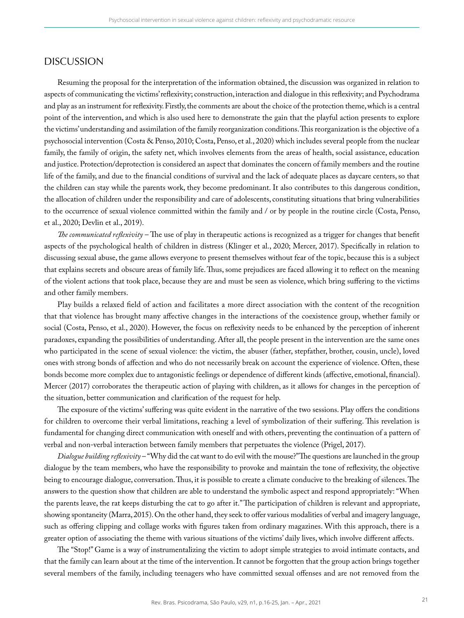### DISCUSSION

Resuming the proposal for the interpretation of the information obtained, the discussion was organized in relation to aspects of communicating the victims' reflexivity; construction, interaction and dialogue in this reflexivity; and Psychodrama and play as an instrument for reflexivity. Firstly, the comments are about the choice of the protection theme, which is a central point of the intervention, and which is also used here to demonstrate the gain that the playful action presents to explore the victims' understanding and assimilation of the family reorganization conditions. This reorganization is the objective of a psychosocial intervention (Costa & Penso, 2010; Costa, Penso, et al., 2020) which includes several people from the nuclear family, the family of origin, the safety net, which involves elements from the areas of health, social assistance, education and justice. Protection/deprotection is considered an aspect that dominates the concern of family members and the routine life of the family, and due to the financial conditions of survival and the lack of adequate places as daycare centers, so that the children can stay while the parents work, they become predominant. It also contributes to this dangerous condition, the allocation of children under the responsibility and care of adolescents, constituting situations that bring vulnerabilities to the occurrence of sexual violence committed within the family and / or by people in the routine circle (Costa, Penso, et al., 2020; Devlin et al., 2019).

*The communicated reflexivity* – The use of play in therapeutic actions is recognized as a trigger for changes that benefit aspects of the psychological health of children in distress (Klinger et al., 2020; Mercer, 2017). Specifically in relation to discussing sexual abuse, the game allows everyone to present themselves without fear of the topic, because this is a subject that explains secrets and obscure areas of family life. Thus, some prejudices are faced allowing it to reflect on the meaning of the violent actions that took place, because they are and must be seen as violence, which bring suffering to the victims and other family members.

Play builds a relaxed field of action and facilitates a more direct association with the content of the recognition that that violence has brought many affective changes in the interactions of the coexistence group, whether family or social (Costa, Penso, et al., 2020). However, the focus on reflexivity needs to be enhanced by the perception of inherent paradoxes, expanding the possibilities of understanding. After all, the people present in the intervention are the same ones who participated in the scene of sexual violence: the victim, the abuser (father, stepfather, brother, cousin, uncle), loved ones with strong bonds of affection and who do not necessarily break on account the experience of violence. Often, these bonds become more complex due to antagonistic feelings or dependence of different kinds (affective, emotional, financial). Mercer (2017) corroborates the therapeutic action of playing with children, as it allows for changes in the perception of the situation, better communication and clarification of the request for help.

The exposure of the victims' suffering was quite evident in the narrative of the two sessions. Play offers the conditions for children to overcome their verbal limitations, reaching a level of symbolization of their suffering. This revelation is fundamental for changing direct communication with oneself and with others, preventing the continuation of a pattern of verbal and non-verbal interaction between family members that perpetuates the violence (Prigel, 2017).

*Dialogue building reflexivity* – "Why did the cat want to do evil with the mouse?" The questions are launched in the group dialogue by the team members, who have the responsibility to provoke and maintain the tone of reflexivity, the objective being to encourage dialogue, conversation. Thus, it is possible to create a climate conducive to the breaking of silences. The answers to the question show that children are able to understand the symbolic aspect and respond appropriately: "When the parents leave, the rat keeps disturbing the cat to go after it." The participation of children is relevant and appropriate, showing spontaneity (Marra, 2015). On the other hand, they seek to offer various modalities of verbal and imagery language, such as offering clipping and collage works with figures taken from ordinary magazines. With this approach, there is a greater option of associating the theme with various situations of the victims' daily lives, which involve different affects.

The "Stop!" Game is a way of instrumentalizing the victim to adopt simple strategies to avoid intimate contacts, and that the family can learn about at the time of the intervention. It cannot be forgotten that the group action brings together several members of the family, including teenagers who have committed sexual offenses and are not removed from the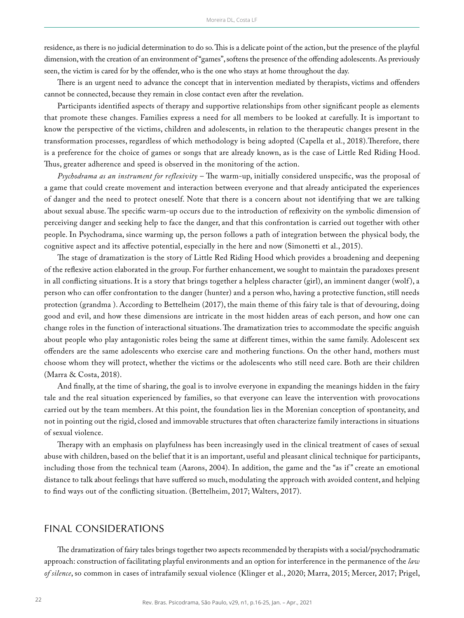residence, as there is no judicial determination to do so. This is a delicate point of the action, but the presence of the playful dimension, with the creation of an environment of "games", softens the presence of the offending adolescents. As previously seen, the victim is cared for by the offender, who is the one who stays at home throughout the day.

There is an urgent need to advance the concept that in intervention mediated by therapists, victims and offenders cannot be connected, because they remain in close contact even after the revelation.

Participants identified aspects of therapy and supportive relationships from other significant people as elements that promote these changes. Families express a need for all members to be looked at carefully. It is important to know the perspective of the victims, children and adolescents, in relation to the therapeutic changes present in the transformation processes, regardless of which methodology is being adopted (Capella et al., 2018).Therefore, there is a preference for the choice of games or songs that are already known, as is the case of Little Red Riding Hood. Thus, greater adherence and speed is observed in the monitoring of the action.

*Psychodrama as an instrument for reflexivity* – The warm-up, initially considered unspecific, was the proposal of a game that could create movement and interaction between everyone and that already anticipated the experiences of danger and the need to protect oneself. Note that there is a concern about not identifying that we are talking about sexual abuse. The specific warm-up occurs due to the introduction of reflexivity on the symbolic dimension of perceiving danger and seeking help to face the danger, and that this confrontation is carried out together with other people. In Psychodrama, since warming up, the person follows a path of integration between the physical body, the cognitive aspect and its affective potential, especially in the here and now (Simonetti et al., 2015).

The stage of dramatization is the story of Little Red Riding Hood which provides a broadening and deepening of the reflexive action elaborated in the group. For further enhancement, we sought to maintain the paradoxes present in all conflicting situations. It is a story that brings together a helpless character (girl), an imminent danger (wolf ), a person who can offer confrontation to the danger (hunter) and a person who, having a protective function, still needs protection (grandma ). According to Bettelheim (2017), the main theme of this fairy tale is that of devouring, doing good and evil, and how these dimensions are intricate in the most hidden areas of each person, and how one can change roles in the function of interactional situations. The dramatization tries to accommodate the specific anguish about people who play antagonistic roles being the same at different times, within the same family. Adolescent sex offenders are the same adolescents who exercise care and mothering functions. On the other hand, mothers must choose whom they will protect, whether the victims or the adolescents who still need care. Both are their children (Marra & Costa, 2018).

And finally, at the time of sharing, the goal is to involve everyone in expanding the meanings hidden in the fairy tale and the real situation experienced by families, so that everyone can leave the intervention with provocations carried out by the team members. At this point, the foundation lies in the Morenian conception of spontaneity, and not in pointing out the rigid, closed and immovable structures that often characterize family interactions in situations of sexual violence.

Therapy with an emphasis on playfulness has been increasingly used in the clinical treatment of cases of sexual abuse with children, based on the belief that it is an important, useful and pleasant clinical technique for participants, including those from the technical team (Aarons, 2004). In addition, the game and the "as if " create an emotional distance to talk about feelings that have suffered so much, modulating the approach with avoided content, and helping to find ways out of the conflicting situation. (Bettelheim, 2017; Walters, 2017).

### FINAL CONSIDERATIONS

The dramatization of fairy tales brings together two aspects recommended by therapists with a social/psychodramatic approach: construction of facilitating playful environments and an option for interference in the permanence of the *law of silence*, so common in cases of intrafamily sexual violence (Klinger et al., 2020; Marra, 2015; Mercer, 2017; Prigel,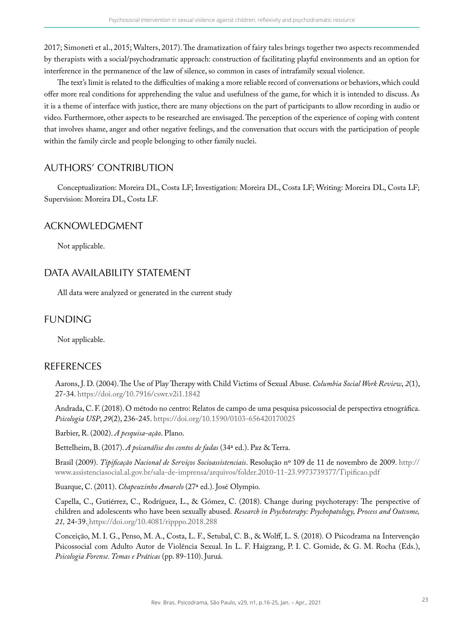2017; Simoneti et al., 2015; Walters, 2017). The dramatization of fairy tales brings together two aspects recommended by therapists with a social/psychodramatic approach: construction of facilitating playful environments and an option for interference in the permanence of the law of silence, so common in cases of intrafamily sexual violence.

The text's limit is related to the difficulties of making a more reliable record of conversations or behaviors, which could offer more real conditions for apprehending the value and usefulness of the game, for which it is intended to discuss. As it is a theme of interface with justice, there are many objections on the part of participants to allow recording in audio or video. Furthermore, other aspects to be researched are envisaged. The perception of the experience of coping with content that involves shame, anger and other negative feelings, and the conversation that occurs with the participation of people within the family circle and people belonging to other family nuclei.

# AUTHORS' CONTRIBUTION

Conceptualization: Moreira DL, Costa LF; Investigation: Moreira DL, Costa LF; Writing: Moreira DL, Costa LF; Supervision: Moreira DL, Costa LF.

# ACKNOWLEDGMENT

Not applicable.

# DATA AVAILABILITY STATEMENT

All data were analyzed or generated in the current study

# FUNDING

Not applicable.

# REFERENCES

Aarons, J. D. (2004). The Use of Play Therapy with Child Victims of Sexual Abuse. *Columbia Social Work Review*, *2*(1), 27-34.<https://doi.org/10.7916/cswr.v2i1.1842>

Andrada, C. F. (2018). O método no centro: Relatos de campo de uma pesquisa psicossocial de perspectiva etnográfica. *Psicologia USP*, *29*(2), 236-245.<https://doi.org/10.1590/0103-656420170025>

Barbier, R. (2002). *A pesquisa-ação*. Plano.

Bettelheim, B. (2017). *A psicanálise dos contos de fadas* (34ª ed.). Paz & Terra.

Brasil (2009). *Tipificação Nacional de Serviços Socioassistenciais*. Resolução nº 109 de 11 de novembro de 2009. [http://](http://www.assistenciasocial.al.gov.br/sala-de-imprensa/arquivos/folder.2010-11-23.9973739377/Tipificao.pdf) [www.assistenciasocial.al.gov.br/sala-de-imprensa/arquivos/folder.2010-11-23.9973739377/Tipificao.pdf](http://www.assistenciasocial.al.gov.br/sala-de-imprensa/arquivos/folder.2010-11-23.9973739377/Tipificao.pdf)

Buarque, C. (2011). *Chapeuzinho Amarelo* (27ª ed.). José Olympio.

Capella, C., Gutiérrez, C., Rodríguez, L., & Gómez, C. (2018). Change during psychoterapy: The perspective of children and adolescents who have been sexually abused. *Research in Psychoterapy: Psychopatology, Process and Outcome, 21,* 24-39. https://doi.org/10.4081/ripppo.2018.288

Conceição, M. I. G., Penso, M. A., Costa, L. F., Setubal, C. B., & Wolff, L. S. (2018). O Psicodrama na Intervenção Psicossocial com Adulto Autor de Violência Sexual. In L. F. Haigzang, P. I. C. Gomide, & G. M. Rocha (Eds.), *Psicologia Forense. Temas e Práticas* (pp. 89-110). Juruá.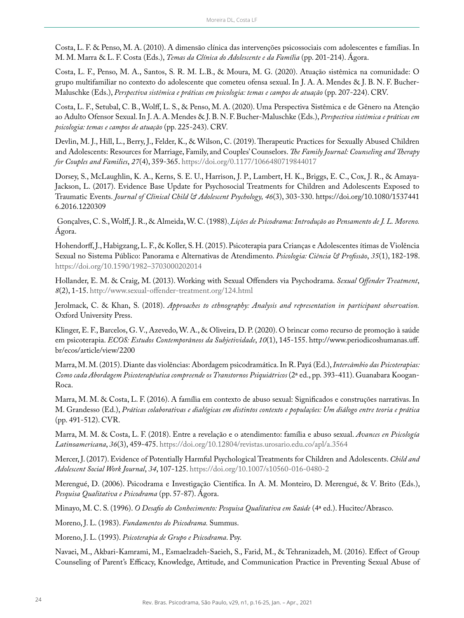Costa, L. F. & Penso, M. A. (2010). A dimensão clínica das intervenções psicossociais com adolescentes e famílias. In M. M. Marra & L. F. Costa (Eds.), *Temas da Clínica do Adolescente e da Família* (pp. 201-214). Ágora.

Costa, L. F., Penso, M. A., Santos, S. R. M. L.B., & Moura, M. G. (2020). Atuação sistêmica na comunidade: O grupo multifamiliar no contexto do adolescente que cometeu ofensa sexual. In J. A. A. Mendes & J. B. N. F. Bucher-Maluschke (Eds.), *Perspectiva sistêmica e práticas em psicologia: temas e campos de atuação* (pp. 207-224). CRV.

Costa, L. F., Setubal, C. B., Wolff, L. S., & Penso, M. A. (2020). Uma Perspectiva Sistêmica e de Gênero na Atenção ao Adulto Ofensor Sexual. In J. A. A. Mendes & J. B. N. F. Bucher-Maluschke (Eds.), *Perspectiva sistêmica e práticas em psicologia: temas e campos de atuação* (pp. 225-243). CRV.

Devlin, M. J., Hill, L., Berry, J., Felder, K., & Wilson, C. (2019). Therapeutic Practices for Sexually Abused Children and Adolescents: Resources for Marriage, Family, and Couples' Counselors. *The Family Journal: Counseling and Therapy for Couples and Families*, *27*(4), 359-365.<https://doi.org/0.1177/1066480719844017>

Dorsey, S., McLaughlin, K. A., Kerns, S. E. U., Harrison, J. P., Lambert, H. K., Briggs, E. C., Cox, J. R., & Amaya-Jackson, L. (2017). Evidence Base Update for Psychosocial Treatments for Children and Adolescents Exposed to Traumatic Events. *Journal of Clinical Child & Adolescent Psychology, 46*(3), 303-330. https://doi.org/10.1080/1537441 6.2016.1220309

 Gonçalves, C. S., Wolff, J. R., & Almeida, W. C. (1988). *Lições de Psicodrama: Introdução ao Pensamento de J. L. Moreno.*  Ágora.

Hohendorff, J., Habigzang, L. F., & Koller, S. H. (2015). Psicoterapia para Crianças e Adolescentes ítimas de Violência Sexual no Sistema Público: Panorama e Alternativas de Atendimento. *Psicologia: Ciência & Profissão*, *35*(1), 182-198. <https://doi.org/10.1590/1982–3703000202014>

Hollander, E. M. & Craig, M. (2013). Working with Sexual Offenders via Psychodrama. *Sexual Offender Treatment*, *8*(2), 1-15.<http://www.sexual-offender-treatment.org/124.html>

Jerolmack, C. & Khan, S. (2018). *Approaches to ethnography: Analysis and representation in participant observation.* Oxford University Press.

Klinger, E. F., Barcelos, G. V., Azevedo, W. A., & Oliveira, D. P. (2020). O brincar como recurso de promoção à saúde em psicoterapia. *ECOS: Estudos Contemporâneos da Subjetividade*, *10*(1), 145-155. http://www.periodicoshumanas.uff. br/ecos/article/view/2200

Marra,M. M. (2015). Diante das violências: Abordagem psicodramática. In R. Payá (Ed.), *Intercâmbio das Psicoterapias: Como cada Abordagem Psicoterapêutica compreende os Transtornos Psiquiátricos* (2ª ed., pp. 393-411). Guanabara Koogan-Roca.

Marra, M. M. & Costa, L. F. (2016). A família em contexto de abuso sexual: Significados e construções narrativas. In M. Grandesso (Ed.), *Práticas colaborativas e dialógicas em distintos contexto e populações: Um diálogo entre teoria e prática* (pp. 491-512). CVR.

Marra, M. M. & Costa, L. F. (2018). Entre a revelação e o atendimento: família e abuso sexual. *Avances en Psicología Latinoamericana*, *36*(3), 459-475. <https://doi.org/10.12804/revistas.urosario.edu.co/apl/a.3564>

Mercer, J. (2017). Evidence of Potentially Harmful Psychological Treatments for Children and Adolescents. *Child and Adolescent Social Work Journal*, *34*, 107-125. <https://doi.org/10.1007/s10560-016-0480-2>

Merengué, D. (2006). Psicodrama e Investigação Científica. In A. M. Monteiro, D. Merengué, & V. Brito (Eds.), *Pesquisa Qualitativa e Psicodrama* (pp. 57-87). Ágora.

Minayo, M. C. S. (1996). *O Desafio do Conhecimento: Pesquisa Qualitativa em Saúde* (4ª ed.). Hucitec/Abrasco.

Moreno, J. L. (1983). *Fundamentos do Psicodrama.* Summus.

Moreno, J. L. (1993). *Psicoterapia de Grupo e Psicodrama*. Psy.

Navaei, M., Akbari-Kamrami, M., Esmaelzadeh-Saeieh, S., Farid, M., & Tehranizadeh, M. (2016). Effect of Group Counseling of Parent's Efficacy, Knowledge, Attitude, and Communication Practice in Preventing Sexual Abuse of